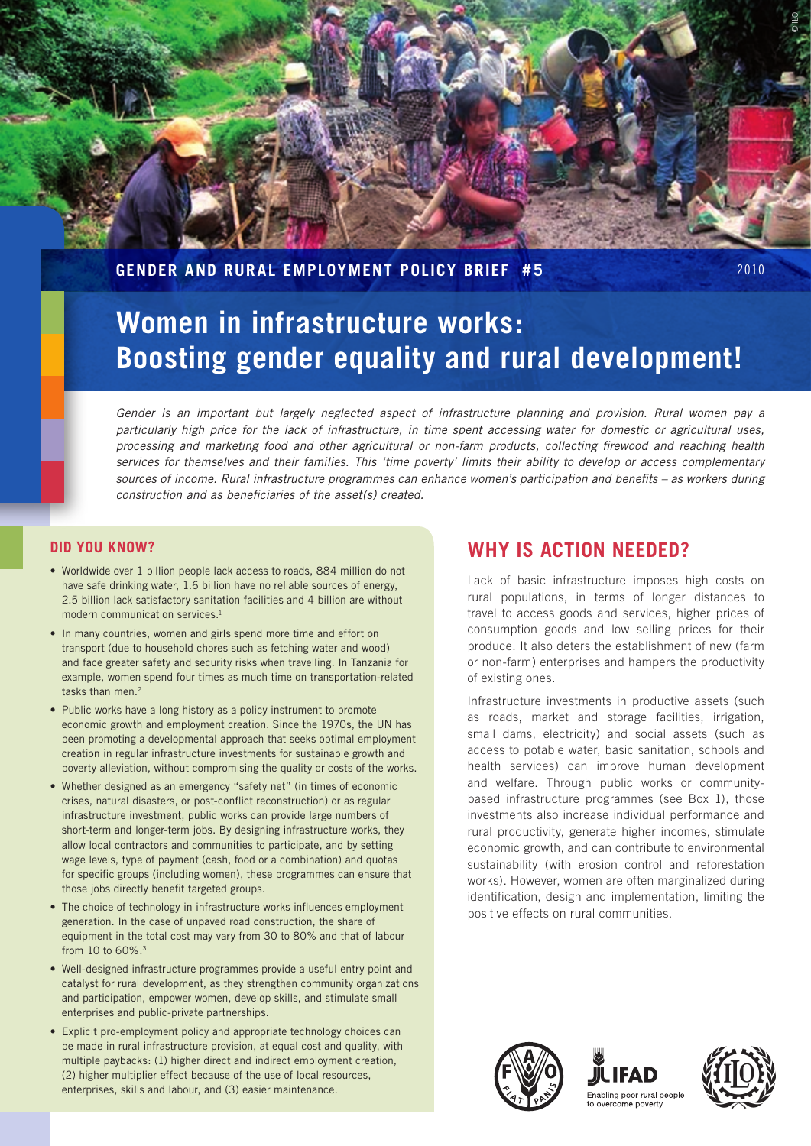

**Gender and Rural Employment Policy Brief #5** 2010

# **Women in infrastructure works: Boosting gender equality and rural development!**

*Gender is an important but largely neglected aspect of infrastructure planning and provision. Rural women pay a particularly high price for the lack of infrastructure, in time spent accessing water for domestic or agricultural uses, processing and marketing food and other agricultural or non-farm products, collecting firewood and reaching health services for themselves and their families. This 'time poverty' limits their ability to develop or access complementary sources of income. Rural infrastructure programmes can enhance women's participation and benefits – as workers during construction and as beneficiaries of the asset(s) created.*

## **Did you know?**

- Worldwide over 1 billion people lack access to roads, 884 million do not have safe drinking water, 1.6 billion have no reliable sources of energy, 2.5 billion lack satisfactory sanitation facilities and 4 billion are without modern communication services.<sup>1</sup>
- In many countries, women and girls spend more time and effort on transport (due to household chores such as fetching water and wood) and face greater safety and security risks when travelling. In Tanzania for example, women spend four times as much time on transportation-related tasks than men.<sup>2</sup>
- Public works have a long history as a policy instrument to promote economic growth and employment creation. Since the 1970s, the UN has been promoting a developmental approach that seeks optimal employment creation in regular infrastructure investments for sustainable growth and poverty alleviation, without compromising the quality or costs of the works.
- Whether designed as an emergency "safety net" (in times of economic crises, natural disasters, or post-conflict reconstruction) or as regular infrastructure investment, public works can provide large numbers of short-term and longer-term jobs. By designing infrastructure works, they allow local contractors and communities to participate, and by setting wage levels, type of payment (cash, food or a combination) and quotas for specific groups (including women), these programmes can ensure that those jobs directly benefit targeted groups.
- The choice of technology in infrastructure works influences employment generation. In the case of unpaved road construction, the share of equipment in the total cost may vary from 30 to 80% and that of labour from 10 to 60%.3
- • Well-designed infrastructure programmes provide a useful entry point and catalyst for rural development, as they strengthen community organizations and participation, empower women, develop skills, and stimulate small enterprises and public-private partnerships.
- Explicit pro-employment policy and appropriate technology choices can be made in rural infrastructure provision, at equal cost and quality, with multiple paybacks: (1) higher direct and indirect employment creation, (2) higher multiplier effect because of the use of local resources, enterprises, skills and labour, and (3) easier maintenance.

# **Why is action needed?**

Lack of basic infrastructure imposes high costs on rural populations, in terms of longer distances to travel to access goods and services, higher prices of consumption goods and low selling prices for their produce. It also deters the establishment of new (farm or non-farm) enterprises and hampers the productivity of existing ones.

Infrastructure investments in productive assets (such as roads, market and storage facilities, irrigation, small dams, electricity) and social assets (such as access to potable water, basic sanitation, schools and health services) can improve human development and welfare. Through public works or communitybased infrastructure programmes (see Box 1), those investments also increase individual performance and rural productivity, generate higher incomes, stimulate economic growth, and can contribute to environmental sustainability (with erosion control and reforestation works). However, women are often marginalized during identification, design and implementation, limiting the positive effects on rural communities.





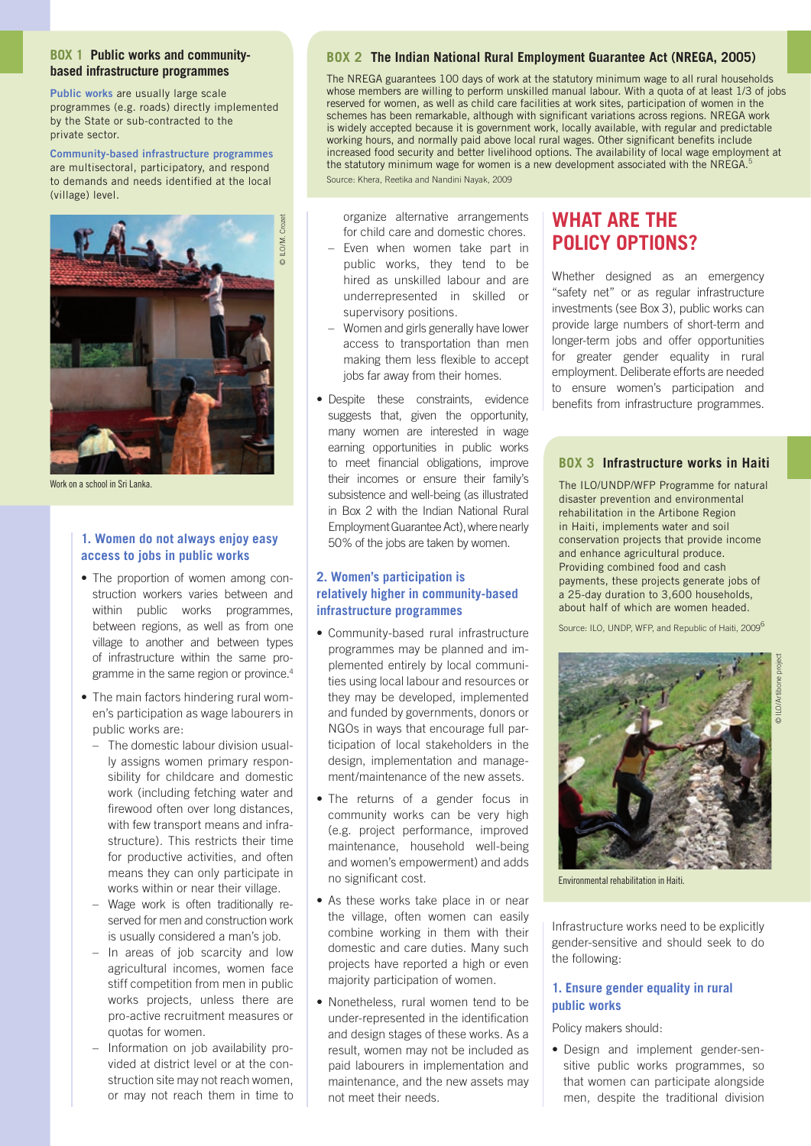#### **Box 1 Public works and communitybased infrastructure programmes**

**Public works** are usually large scale programmes (e.g. roads) directly implemented by the State or sub-contracted to the private sector.

**Community-based infrastructure programmes** are multisectoral, participatory, and respond to demands and needs identified at the local (village) level.



Work on a school in Sri Lanka.

#### **1. Women do not always enjoy easy access to jobs in public works**

- The proportion of women among construction workers varies between and within public works programmes, between regions, as well as from one village to another and between types of infrastructure within the same programme in the same region or province.4
- The main factors hindering rural women's participation as wage labourers in public works are:
	- The domestic labour division usually assigns women primary responsibility for childcare and domestic work (including fetching water and firewood often over long distances, with few transport means and infrastructure). This restricts their time for productive activities, and often means they can only participate in works within or near their village.
	- Wage work is often traditionally reserved for men and construction work is usually considered a man's job.
	- In areas of job scarcity and low agricultural incomes, women face stiff competition from men in public works projects, unless there are pro-active recruitment measures or quotas for women.
	- Information on job availability provided at district level or at the construction site may not reach women, or may not reach them in time to

#### **Box 2 The Indian National Rural Employment Guarantee Act (NREGA, 2005)**

The NREGA guarantees 100 days of work at the statutory minimum wage to all rural households whose members are willing to perform unskilled manual labour. With a quota of at least 1/3 of jobs reserved for women, as well as child care facilities at work sites, participation of women in the schemes has been remarkable, although with significant variations across regions. NREGA work is widely accepted because it is government work, locally available, with regular and predictable working hours, and normally paid above local rural wages. Other significant benefits include increased food security and better livelihood options. The availability of local wage employment at the statutory minimum wage for women is a new development associated with the NREGA.<sup>5</sup> Source: Khera, Reetika and Nandini Nayak, 2009

organize alternative arrangements for child care and domestic chores.

- Even when women take part in public works, they tend to be hired as unskilled labour and are underrepresented in skilled or supervisory positions.
- Women and girls generally have lower access to transportation than men making them less flexible to accept jobs far away from their homes.
- • Despite these constraints, evidence suggests that, given the opportunity, many women are interested in wage earning opportunities in public works to meet financial obligations, improve their incomes or ensure their family's subsistence and well-being (as illustrated in Box 2 with the Indian National Rural Employment Guarantee Act), where nearly 50% of the jobs are taken by women.

## **2. Women's participation is relatively higher in community-based infrastructure programmes**

- • Community-based rural infrastructure programmes may be planned and implemented entirely by local communities using local labour and resources or they may be developed, implemented and funded by governments, donors or NGOs in ways that encourage full participation of local stakeholders in the design, implementation and management/maintenance of the new assets.
- The returns of a gender focus in community works can be very high (e.g. project performance, improved maintenance, household well-being and women's empowerment) and adds no significant cost.
- As these works take place in or near the village, often women can easily combine working in them with their domestic and care duties. Many such projects have reported a high or even majority participation of women.
- Nonetheless, rural women tend to be under-represented in the identification and design stages of these works. As a result, women may not be included as paid labourers in implementation and maintenance, and the new assets may not meet their needs.

# **WHAT ARF THF policy options?**

Whether designed as an emergency "safety net" or as regular infrastructure investments (see Box 3), public works can provide large numbers of short-term and longer-term jobs and offer opportunities for greater gender equality in rural employment. Deliberate efforts are needed to ensure women's participation and benefits from infrastructure programmes.

## **Box 3 Infrastructure works in Haiti**

The ILO/UNDP/WFP Programme for natural disaster prevention and environmental rehabilitation in the Artibone Region in Haiti, implements water and soil conservation projects that provide income and enhance agricultural produce. Providing combined food and cash payments, these projects generate jobs of a 25-day duration to 3,600 households, about half of which are women headed.

Source: ILO, UNDP, WFP, and Republic of Haiti, 2009<sup>6</sup>

© ILO/Artibone project



Environmental rehabilitation in Haiti.

Infrastructure works need to be explicitly gender-sensitive and should seek to do the following:

## **1. Ensure gender equality in rural public works**

Policy makers should:

• Design and implement gender-sensitive public works programmes, so that women can participate alongside men, despite the traditional division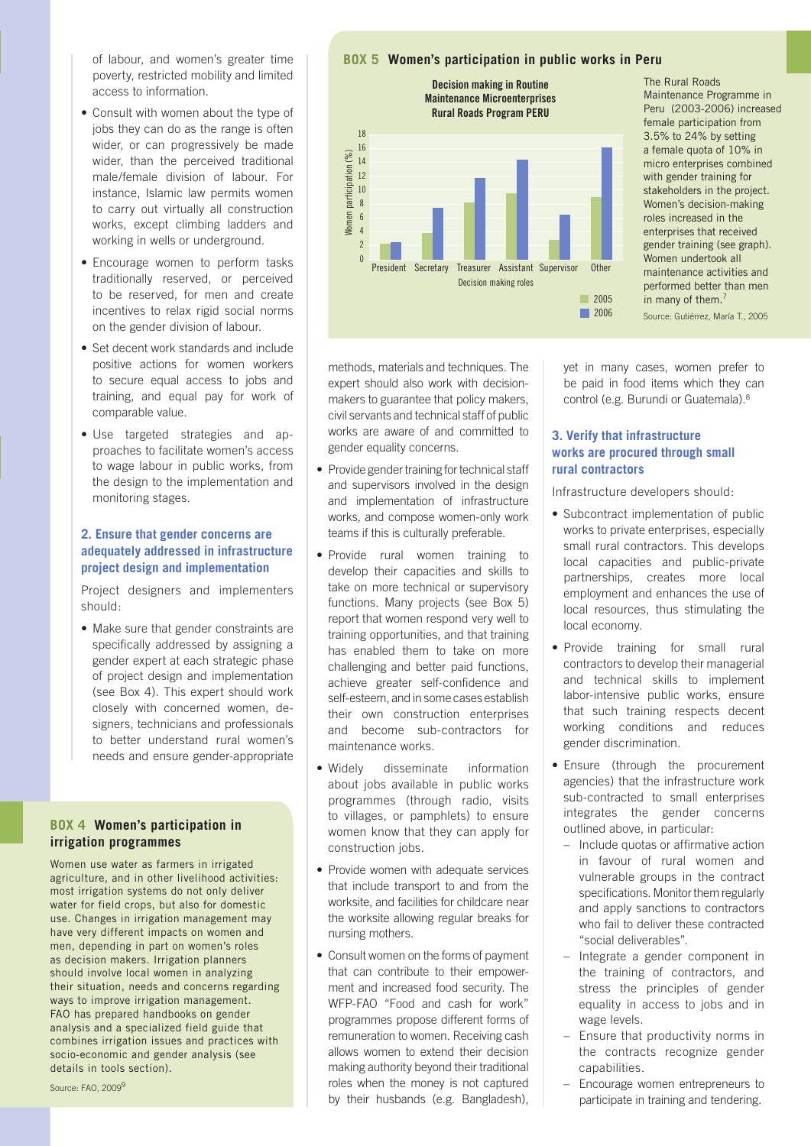of labour, and women's greater time poverty, restricted mobility and limited access to information.

- Consult with women about the type of jobs they can do as the range is often wider, or can progressively be made wider, than the perceived traditional male/female division of labour. For instance, Islamic law permits women to carry out virtually all construction works, except climbing ladders and working in wells or underground.
- Encourage women to perform tasks traditionally reserved, or perceived to be reserved, for men and create incentives to relax rigid social norms on the gender division of labour.
- Set decent work standards and include positive actions for women workers to secure equal access to jobs and training, and equal pay for work of comparable value.
- Use targeted strategies and approaches to facilitate women's access to wage labour in public works, from the design to the implementation and monitoring stages.

#### **2. Ensure that gender concerns are adequately addressed in infrastructure project design and implementation**

Project designers and implementers should:

• Make sure that gender constraints are specifically addressed by assigning a gender expert at each strategic phase of project design and implementation (see Box 4). This expert should work closely with concerned women, designers, technicians and professionals to better understand rural women's needs and ensure gender-appropriate

#### **Box 4 Women's participation in irrigation programmes**

Women use water as farmers in irrigated agriculture, and in other livelihood activities: most irrigation systems do not only deliver water for field crops, but also for domestic use. Changes in irrigation management may have very different impacts on women and men, depending in part on women's roles as decision makers. Irrigation planners should involve local women in analyzing their situation, needs and concerns regarding ways to improve irrigation management. FAO has prepared handbooks on gender analysis and a specialized field guide that combines irrigation issues and practices with socio-economic and gender analysis (see details in tools section).

#### **Box 5 Women's participation in public works in Peru**



The Rural Roads Maintenance Programme in Peru (2003-2006) increased female participation from 3.5% to 24% by setting a female quota of 10% in micro enterprises combined with gender training for stakeholders in the project. Women's decision-making roles increased in the enterprises that received gender training (see graph). Women undertook all maintenance activities and performed better than men in many of them.<sup>7</sup>

2006 Source: Gutiérrez, María T., 2005

methods, materials and techniques. The expert should also work with decisionmakers to guarantee that policy makers, civil servants and technical staff of public works are aware of and committed to gender equality concerns.

- Provide gender training for technical staff and supervisors involved in the design and implementation of infrastructure works, and compose women-only work teams if this is culturally preferable.
- Provide rural women training to develop their capacities and skills to take on more technical or supervisory functions. Many projects (see Box 5) report that women respond very well to training opportunities, and that training has enabled them to take on more challenging and better paid functions, achieve greater self-confidence and self-esteem, and in some cases establish their own construction enterprises and become sub-contractors for maintenance works.
- Widely disseminate information about jobs available in public works programmes (through radio, visits to villages, or pamphlets) to ensure women know that they can apply for construction jobs.
- Provide women with adequate services that include transport to and from the worksite, and facilities for childcare near the worksite allowing regular breaks for nursing mothers.
- Consult women on the forms of payment that can contribute to their empowerment and increased food security. The WFP-FAO "Food and cash for work" programmes propose different forms of remuneration to women. Receiving cash allows women to extend their decision making authority beyond their traditional roles when the money is not captured by their husbands (e.g. Bangladesh),

yet in many cases, women prefer to be paid in food items which they can control (e.g. Burundi or Guatemala).<sup>8</sup>

## **3. Verify that infrastructure works are procured through small rural contractors**

Infrastructure developers should:

- Subcontract implementation of public works to private enterprises, especially small rural contractors. This develops local capacities and public-private partnerships, creates more local employment and enhances the use of local resources, thus stimulating the local economy.
- Provide training for small rural contractors to develop their managerial and technical skills to implement labor-intensive public works, ensure that such training respects decent working conditions and reduces gender discrimination.
- Ensure (through the procurement agencies) that the infrastructure work sub-contracted to small enterprises integrates the gender concerns outlined above, in particular:
	- Include quotas or affirmative action in favour of rural women and vulnerable groups in the contract specifications. Monitor them regularly and apply sanctions to contractors who fail to deliver these contracted "social deliverables".
	- Integrate a gender component in the training of contractors, and stress the principles of gender equality in access to jobs and in wage levels.
	- Ensure that productivity norms in the contracts recognize gender capabilities.
	- Encourage women entrepreneurs to participate in training and tendering.